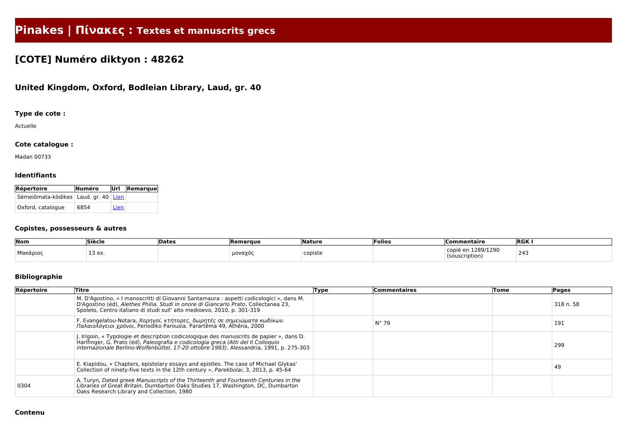# **Pinakes | Πίνακες : Textes et manuscrits grecs**

## **[COTE] Numéro diktyon : 48262**

### **United Kingdom, Oxford, Bodleian Library, Laud, gr. 40**

#### **Type de cote :**

Actuelle

#### **Cote catalogue :**

Madan 00733

#### **Identifiants**

| <b>Répertoire</b>                        | Numéro |      | Url Remarque |
|------------------------------------------|--------|------|--------------|
| Sèmeiômata-kôdikes   Laud. gr. 40   Lien |        |      |              |
| Oxford, catalogue                        | 6854   | Lien |              |

#### **Copistes, possesseurs & autres**

| Nom        | Siècle | <b>Dates</b> | Remarque            | Nature  | Folios | Commentaire                | <b>RGK</b> |
|------------|--------|--------------|---------------------|---------|--------|----------------------------|------------|
| ' Μακάριος | 13 ex. |              | ∵∩ναγός τ<br>$\sim$ | copiste |        | 289/1290<br>(souscription) | 243        |

#### **Bibliographie**

| Répertoire | Titre                                                                                                                                                                                                                                                                    | Type | <b>Commentaires</b> | Tome | <b>Pages</b> |
|------------|--------------------------------------------------------------------------------------------------------------------------------------------------------------------------------------------------------------------------------------------------------------------------|------|---------------------|------|--------------|
|            | M. D'Agostino, « I manoscritti di Giovanni Santamaura : aspetti codicologici », dans M.<br>D'Agostino (éd), Alethes Philia. Studi in onore di Giancarlo Prato, Collectanea 23,<br>Spoleto, Centro italiano di studi sull' alto medioevo, 2010, p. 301-319                |      |                     |      | 318 n. 58    |
|            | F. Evangelatou-Notara, Χορηγοί, κτήτορες, δωρητές σε σημειώματα κωδίκων.<br>Παλαιολόγειοι χρόνοι, Periodiko Parousia. Parartêma 49, Athêna, 2000                                                                                                                         |      | $N^{\circ}$ 79      |      | 191          |
|            | J. Irigoin, « Typologie et description codicologique des manuscrits de papier », dans D.<br>Harlfinger, G. Prato (éd), Paleografia e codicologia greca (Atti del II Colloguio<br>internazionale Berlino-Wolfenbüttel, 17-20 ottobre 1983), Alessandria, 1991, p. 275-303 |      |                     |      | 299          |
|            | E. Kiapidou, « Chapters, epistolary essays and epistles. The case of Michael Glykas'<br>Collection of ninety-five texts in the 12th century », Parekbolai, 3, 2013, p. 45-64                                                                                             |      |                     |      | 49           |
| 0304       | A. Turyn, Dated greek Manuscripts of the Thirteenth and Fourteenth Centuries in the<br>Libraries of Great Britain, Dumbarton Oaks Studies 17, Washington, DC, Dumbarton<br>Oaks Research Library and Collection, 1980                                                    |      |                     |      |              |